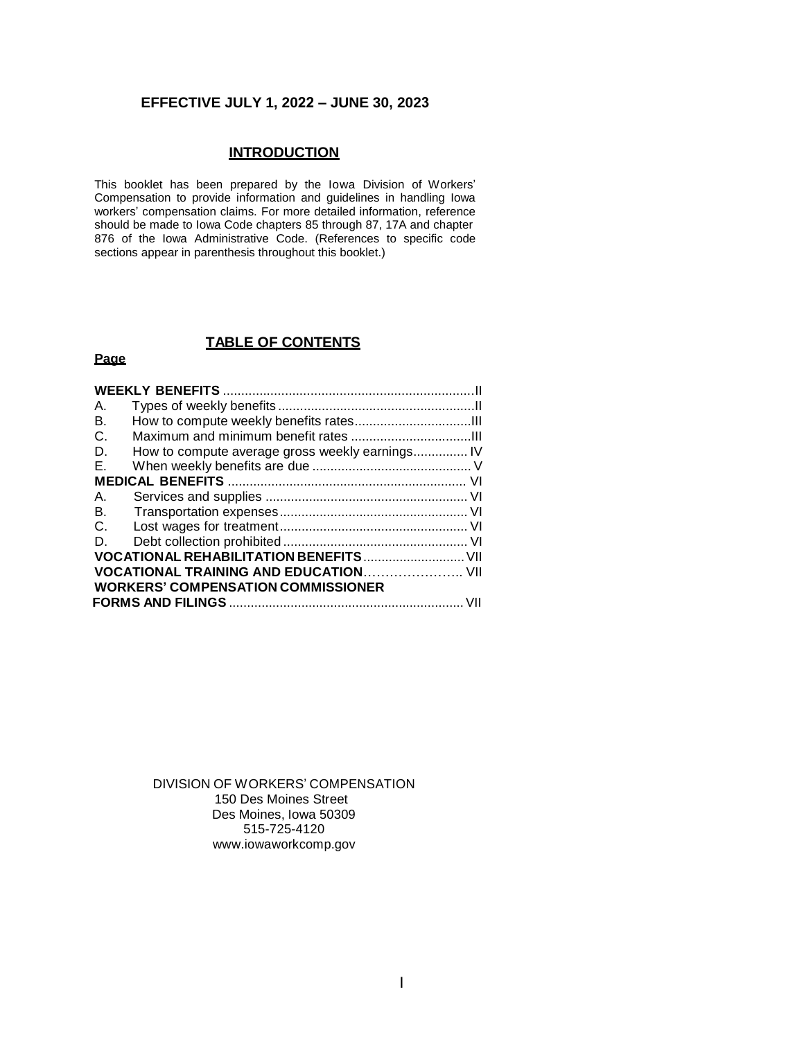## **EFFECTIVE JULY 1, 2022 – JUNE 30, 2023**

## **INTRODUCTION**

This booklet has been prepared by the Iowa Division of Workers' Compensation to provide information and guidelines in handling Iowa workers' compensation claims. For more detailed information, reference should be made to Iowa Code chapters 85 through 87, 17A and chapter 876 of the Iowa Administrative Code. (References to specific code sections appear in parenthesis throughout this booklet.)

## **TABLE OF CONTENTS**

## **Page**

| А.                                        |                                                 |  |  |  |
|-------------------------------------------|-------------------------------------------------|--|--|--|
| В.                                        |                                                 |  |  |  |
| C.                                        |                                                 |  |  |  |
| D.                                        | How to compute average gross weekly earnings IV |  |  |  |
| Е.                                        |                                                 |  |  |  |
|                                           |                                                 |  |  |  |
| Α.                                        |                                                 |  |  |  |
| В.                                        |                                                 |  |  |  |
| C.                                        |                                                 |  |  |  |
| D.                                        |                                                 |  |  |  |
|                                           |                                                 |  |  |  |
|                                           |                                                 |  |  |  |
| <b>WORKERS' COMPENSATION COMMISSIONER</b> |                                                 |  |  |  |
|                                           |                                                 |  |  |  |
|                                           |                                                 |  |  |  |

DIVISION OF WORKERS' COMPENSATION 150 Des Moines Street Des Moines, Iowa 50309 515-725-412[0](http://www.iowaworkcomp.gov/) [www.iowaworkcomp.gov](http://www.iowaworkcomp.gov/)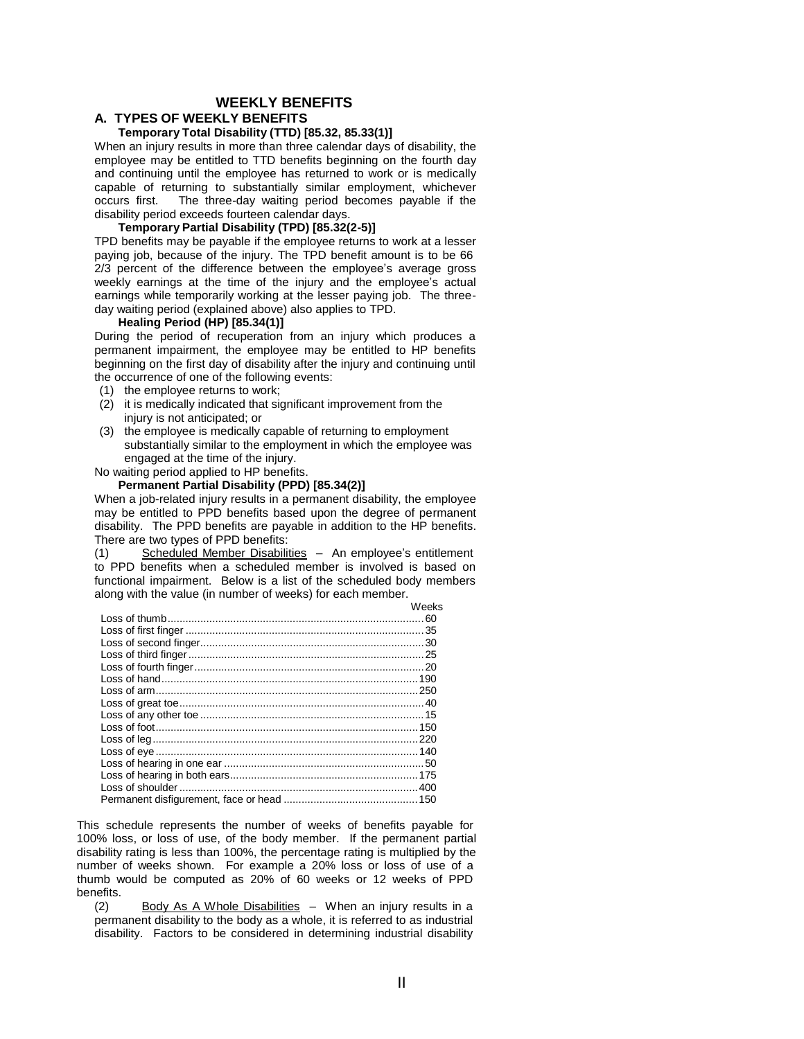## **WEEKLY BENEFITS**

#### **A. TYPES OF WEEKLY BENEFITS**

## **Temporary Total Disability (TTD) [85.32, 85.33(1)]**

When an injury results in more than three calendar days of disability, the employee may be entitled to TTD benefits beginning on the fourth day and continuing until the employee has returned to work or is medically capable of returning to substantially similar employment, whichever occurs first. The three-day waiting period becomes payable if the disability period exceeds fourteen calendar days.

#### **Temporary Partial Disability (TPD) [85.32(2-5)]**

TPD benefits may be payable if the employee returns to work at a lesser paying job, because of the injury. The TPD benefit amount is to be 66 2/3 percent of the difference between the employee's average gross weekly earnings at the time of the injury and the employee's actual earnings while temporarily working at the lesser paying job. The threeday waiting period (explained above) also applies to TPD.

#### **Healing Period (HP) [85.34(1)]**

During the period of recuperation from an injury which produces a permanent impairment, the employee may be entitled to HP benefits beginning on the first day of disability after the injury and continuing until the occurrence of one of the following events:

- (1) the employee returns to work;
- (2) it is medically indicated that significant improvement from the injury is not anticipated; or
- (3) the employee is medically capable of returning to employment substantially similar to the employment in which the employee was engaged at the time of the injury.

No waiting period applied to HP benefits.

#### **Permanent Partial Disability (PPD) [85.34(2)]**

When a job-related injury results in a permanent disability, the employee may be entitled to PPD benefits based upon the degree of permanent disability. The PPD benefits are payable in addition to the HP benefits. There are two types of PPD benefits:

(1) Scheduled Member Disabilities – An employee's entitlement to PPD benefits when a scheduled member is involved is based on functional impairment. Below is a list of the scheduled body members along with the value (in number of weeks) for each member.

| Weeks |
|-------|
|       |
|       |
|       |
|       |
|       |
|       |
|       |
|       |
|       |
|       |
|       |
|       |
|       |
|       |
|       |
|       |
|       |

This schedule represents the number of weeks of benefits payable for 100% loss, or loss of use, of the body member. If the permanent partial disability rating is less than 100%, the percentage rating is multiplied by the number of weeks shown. For example a 20% loss or loss of use of a thumb would be computed as 20% of 60 weeks or 12 weeks of PPD benefits.

(2) Body As A Whole Disabilities – When an injury results in a permanent disability to the body as a whole, it is referred to as industrial disability. Factors to be considered in determining industrial disability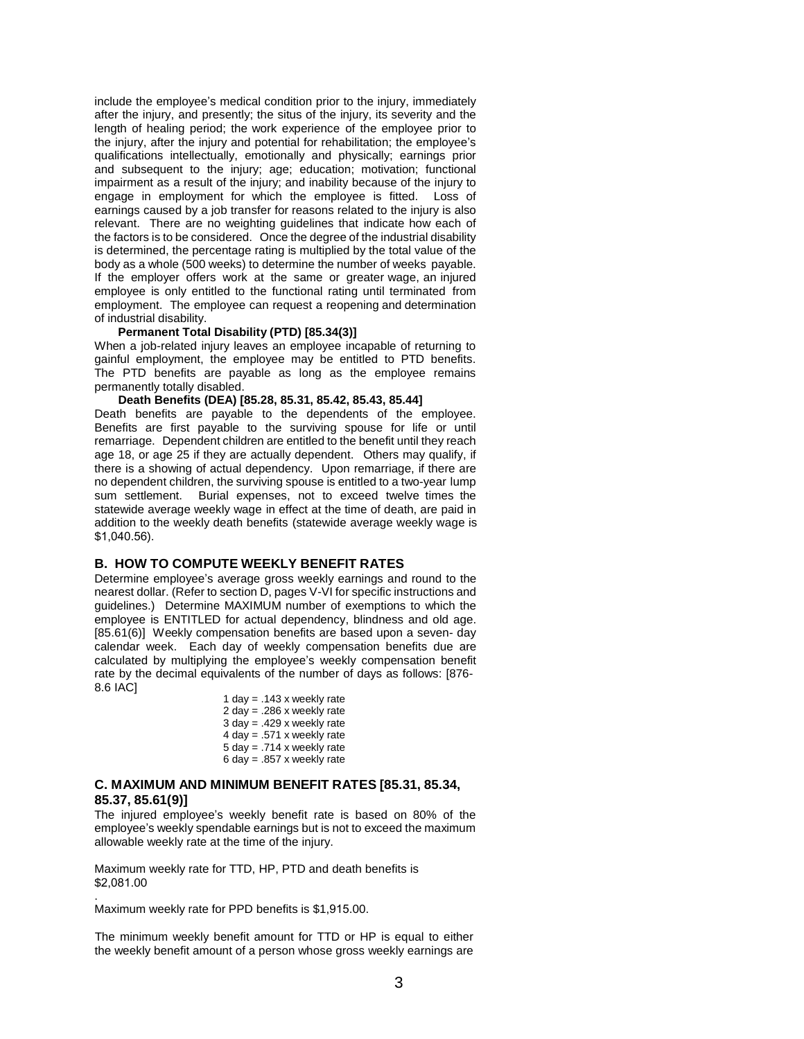include the employee's medical condition prior to the injury, immediately after the injury, and presently; the situs of the injury, its severity and the length of healing period; the work experience of the employee prior to the injury, after the injury and potential for rehabilitation; the employee's qualifications intellectually, emotionally and physically; earnings prior and subsequent to the injury; age; education; motivation; functional impairment as a result of the injury; and inability because of the injury to engage in employment for which the employee is fitted. Loss of earnings caused by a job transfer for reasons related to the injury is also relevant. There are no weighting guidelines that indicate how each of the factors is to be considered. Once the degree of the industrial disability is determined, the percentage rating is multiplied by the total value of the body as a whole (500 weeks) to determine the number of weeks payable. If the employer offers work at the same or greater wage, an injured employee is only entitled to the functional rating until terminated from employment. The employee can request a reopening and determination of industrial disability.

#### **Permanent Total Disability (PTD) [85.34(3)]**

When a job-related injury leaves an employee incapable of returning to gainful employment, the employee may be entitled to PTD benefits. The PTD benefits are payable as long as the employee remains permanently totally disabled.

**Death Benefits (DEA) [85.28, 85.31, 85.42, 85.43, 85.44]**

Death benefits are payable to the dependents of the employee. Benefits are first payable to the surviving spouse for life or until remarriage. Dependent children are entitled to the benefit until they reach age 18, or age 25 if they are actually dependent. Others may qualify, if there is a showing of actual dependency. Upon remarriage, if there are no dependent children, the surviving spouse is entitled to a two-year lump sum settlement. Burial expenses, not to exceed twelve times the statewide average weekly wage in effect at the time of death, are paid in addition to the weekly death benefits (statewide average weekly wage is \$1,040.56).

#### **B. HOW TO COMPUTE WEEKLY BENEFIT RATES**

Determine employee's average gross weekly earnings and round to the nearest dollar. (Refer to section D, pages V-VI for specific instructions and guidelines.) Determine MAXIMUM number of exemptions to which the employee is ENTITLED for actual dependency, blindness and old age. [85.61(6)] Weekly compensation benefits are based upon a seven- day calendar week. Each day of weekly compensation benefits due are calculated by multiplying the employee's weekly compensation benefit rate by the decimal equivalents of the number of days as follows: [876- 8.6 IAC]

1 day =  $.143$  x weekly rate 2 day = .286 x weekly rate  $3$  day = .429 x weekly rate  $4 \text{ day} = .571 \times \text{weekly rate}$ 5 day = .714 x weekly rate 6 day =  $.857$  x weekly rate

#### **C. MAXIMUM AND MINIMUM BENEFIT RATES [85.31, 85.34, 85.37, 85.61(9)]**

The injured employee's weekly benefit rate is based on 80% of the employee's weekly spendable earnings but is not to exceed the maximum allowable weekly rate at the time of the injury.

Maximum weekly rate for TTD, HP, PTD and death benefits is \$2,081.00

Maximum weekly rate for PPD benefits is \$1,915.00.

.

The minimum weekly benefit amount for TTD or HP is equal to either the weekly benefit amount of a person whose gross weekly earnings are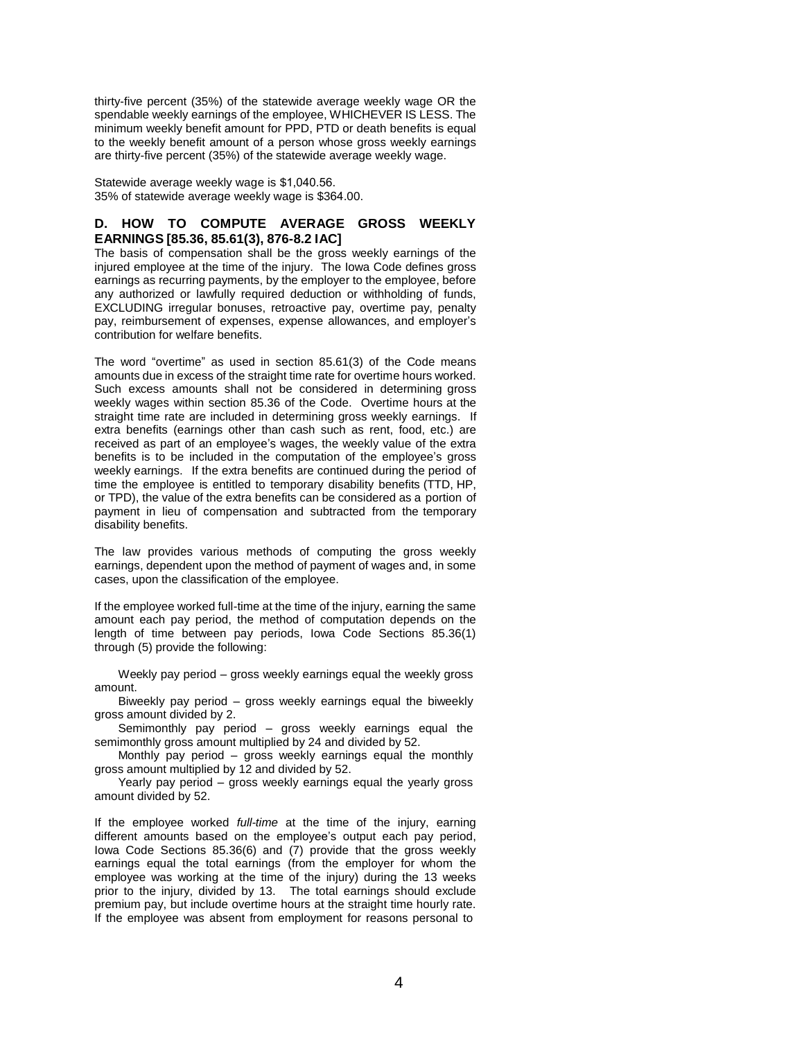thirty-five percent (35%) of the statewide average weekly wage OR the spendable weekly earnings of the employee, WHICHEVER IS LESS. The minimum weekly benefit amount for PPD, PTD or death benefits is equal to the weekly benefit amount of a person whose gross weekly earnings are thirty-five percent (35%) of the statewide average weekly wage.

Statewide average weekly wage is \$1,040.56. 35% of statewide average weekly wage is \$364.00.

## **D. HOW TO COMPUTE AVERAGE GROSS WEEKLY EARNINGS [85.36, 85.61(3), 876-8.2 IAC]**

The basis of compensation shall be the gross weekly earnings of the injured employee at the time of the injury. The Iowa Code defines gross earnings as recurring payments, by the employer to the employee, before any authorized or lawfully required deduction or withholding of funds, EXCLUDING irregular bonuses, retroactive pay, overtime pay, penalty pay, reimbursement of expenses, expense allowances, and employer's contribution for welfare benefits.

The word "overtime" as used in section 85.61(3) of the Code means amounts due in excess of the straight time rate for overtime hours worked. Such excess amounts shall not be considered in determining gross weekly wages within section 85.36 of the Code. Overtime hours at the straight time rate are included in determining gross weekly earnings. If extra benefits (earnings other than cash such as rent, food, etc.) are received as part of an employee's wages, the weekly value of the extra benefits is to be included in the computation of the employee's gross weekly earnings. If the extra benefits are continued during the period of time the employee is entitled to temporary disability benefits (TTD, HP, or TPD), the value of the extra benefits can be considered as a portion of payment in lieu of compensation and subtracted from the temporary disability benefits.

The law provides various methods of computing the gross weekly earnings, dependent upon the method of payment of wages and, in some cases, upon the classification of the employee.

If the employee worked full-time at the time of the injury, earning the same amount each pay period, the method of computation depends on the length of time between pay periods, Iowa Code Sections 85.36(1) through (5) provide the following:

Weekly pay period – gross weekly earnings equal the weekly gross amount.

Biweekly pay period – gross weekly earnings equal the biweekly gross amount divided by 2.

Semimonthly pay period – gross weekly earnings equal the semimonthly gross amount multiplied by 24 and divided by 52.

Monthly pay period – gross weekly earnings equal the monthly gross amount multiplied by 12 and divided by 52.

Yearly pay period – gross weekly earnings equal the yearly gross amount divided by 52.

If the employee worked *full-time* at the time of the injury, earning different amounts based on the employee's output each pay period, Iowa Code Sections 85.36(6) and (7) provide that the gross weekly earnings equal the total earnings (from the employer for whom the employee was working at the time of the injury) during the 13 weeks prior to the injury, divided by 13. The total earnings should exclude premium pay, but include overtime hours at the straight time hourly rate. If the employee was absent from employment for reasons personal to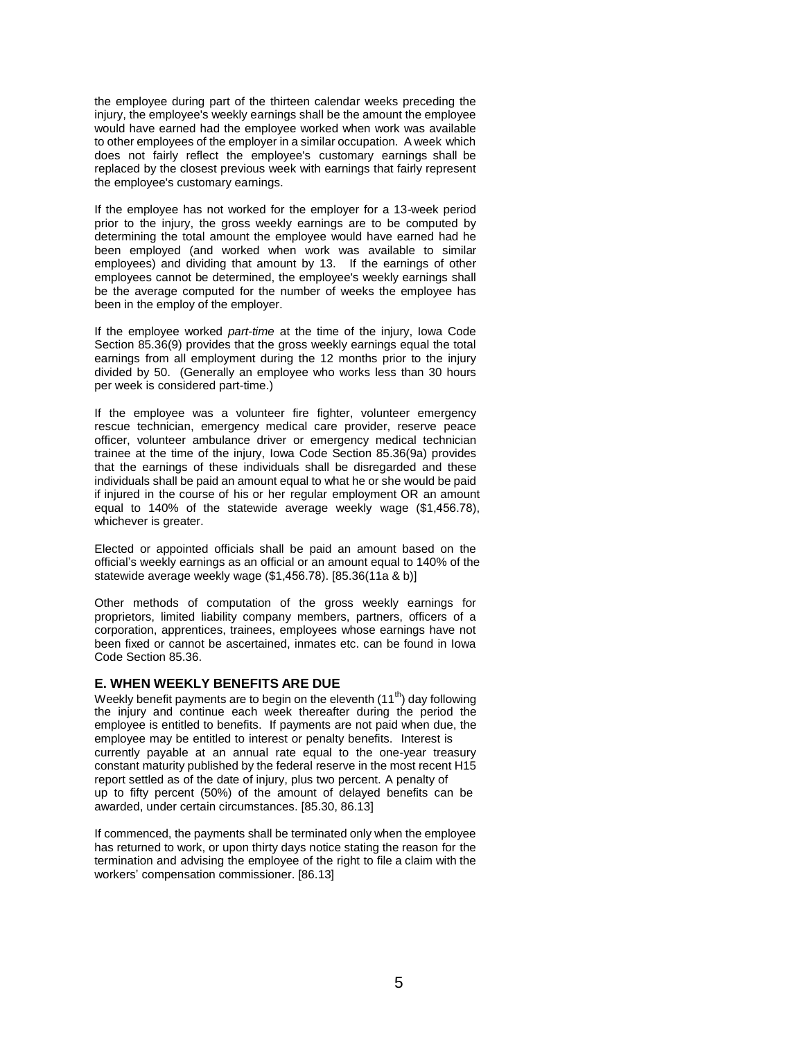the employee during part of the thirteen calendar weeks preceding the injury, the employee's weekly earnings shall be the amount the employee would have earned had the employee worked when work was available to other employees of the employer in a similar occupation. A week which does not fairly reflect the employee's customary earnings shall be replaced by the closest previous week with earnings that fairly represent the employee's customary earnings.

If the employee has not worked for the employer for a 13-week period prior to the injury, the gross weekly earnings are to be computed by determining the total amount the employee would have earned had he been employed (and worked when work was available to similar employees) and dividing that amount by 13. If the earnings of other employees cannot be determined, the employee's weekly earnings shall be the average computed for the number of weeks the employee has been in the employ of the employer.

If the employee worked *part-time* at the time of the injury, Iowa Code Section 85.36(9) provides that the gross weekly earnings equal the total earnings from all employment during the 12 months prior to the injury divided by 50. (Generally an employee who works less than 30 hours per week is considered part-time.)

If the employee was a volunteer fire fighter, volunteer emergency rescue technician, emergency medical care provider, reserve peace officer, volunteer ambulance driver or emergency medical technician trainee at the time of the injury, Iowa Code Section 85.36(9a) provides that the earnings of these individuals shall be disregarded and these individuals shall be paid an amount equal to what he or she would be paid if injured in the course of his or her regular employment OR an amount equal to 140% of the statewide average weekly wage (\$1,456.78), whichever is greater.

Elected or appointed officials shall be paid an amount based on the official's weekly earnings as an official or an amount equal to 140% of the statewide average weekly wage (\$1,456.78). [85.36(11a & b)]

Other methods of computation of the gross weekly earnings for proprietors, limited liability company members, partners, officers of a corporation, apprentices, trainees, employees whose earnings have not been fixed or cannot be ascertained, inmates etc. can be found in Iowa Code Section 85.36.

#### **E. WHEN WEEKLY BENEFITS ARE DUE**

Weekly benefit payments are to begin on the eleventh  $(11<sup>th</sup>)$  day following the injury and continue each week thereafter during the period the employee is entitled to benefits. If payments are not paid when due, the employee may be entitled to interest or penalty benefits. Interest is currently payable at an annual rate equal to the one-year treasury constant maturity published by the federal reserve in the most recent H15 report settled as of the date of injury, plus two percent. A penalty of up to fifty percent (50%) of the amount of delayed benefits can be awarded, under certain circumstances. [85.30, 86.13]

If commenced, the payments shall be terminated only when the employee has returned to work, or upon thirty days notice stating the reason for the termination and advising the employee of the right to file a claim with the workers' compensation commissioner. [86.13]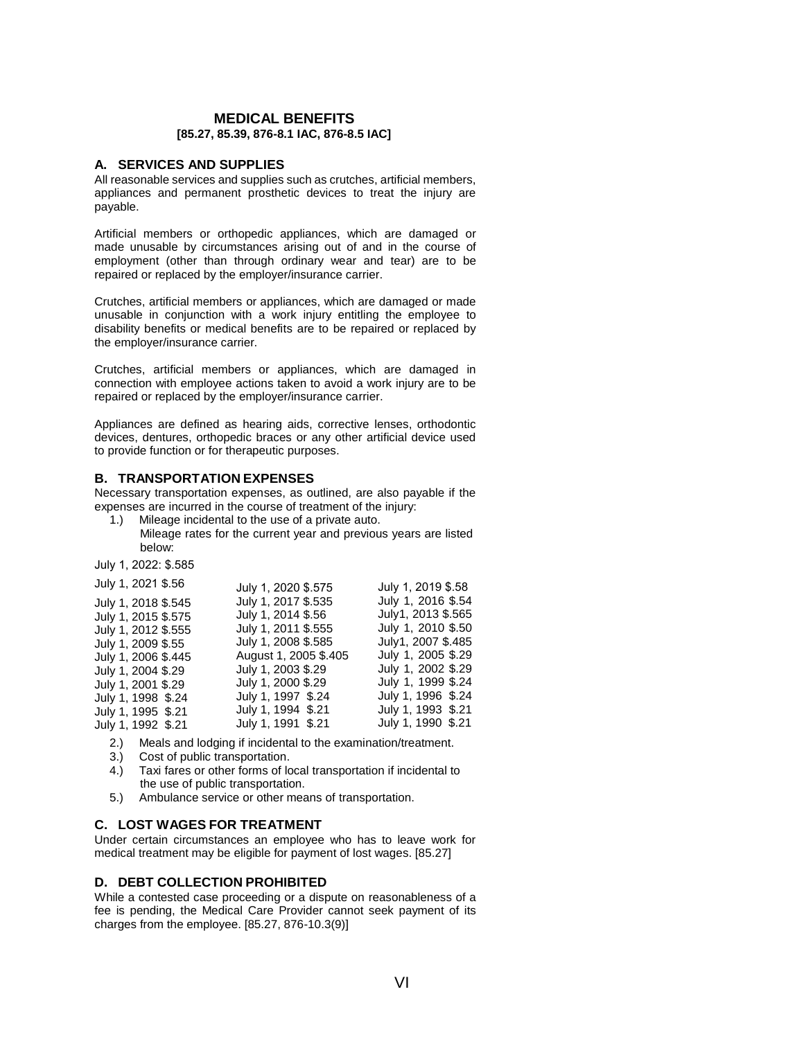#### **MEDICAL BENEFITS [85.27, 85.39, 876-8.1 IAC, 876-8.5 IAC]**

#### **A. SERVICES AND SUPPLIES**

All reasonable services and supplies such as crutches, artificial members, appliances and permanent prosthetic devices to treat the injury are payable.

Artificial members or orthopedic appliances, which are damaged or made unusable by circumstances arising out of and in the course of employment (other than through ordinary wear and tear) are to be repaired or replaced by the employer/insurance carrier.

Crutches, artificial members or appliances, which are damaged or made unusable in conjunction with a work injury entitling the employee to disability benefits or medical benefits are to be repaired or replaced by the employer/insurance carrier.

Crutches, artificial members or appliances, which are damaged in connection with employee actions taken to avoid a work injury are to be repaired or replaced by the employer/insurance carrier.

Appliances are defined as hearing aids, corrective lenses, orthodontic devices, dentures, orthopedic braces or any other artificial device used to provide function or for therapeutic purposes.

## **B. TRANSPORTATION EXPENSES**

Necessary transportation expenses, as outlined, are also payable if the expenses are incurred in the course of treatment of the injury:

1.) Mileage incidental to the use of a private auto. Mileage rates for the current year and previous years are listed below:

July 1, 2022: \$.585

| July 1, 2021 \$.56  | July 1, 2020 \$.575   | July 1, 2019 \$.58 |
|---------------------|-----------------------|--------------------|
| July 1, 2018 \$.545 | July 1, 2017 \$.535   | July 1, 2016 \$.54 |
| July 1, 2015 \$.575 | July 1, 2014 \$.56    | July1, 2013 \$.565 |
| July 1, 2012 \$.555 | July 1, 2011 \$.555   | July 1, 2010 \$.50 |
| July 1, 2009 \$.55  | July 1, 2008 \$.585   | July1, 2007 \$.485 |
| July 1, 2006 \$.445 | August 1, 2005 \$.405 | July 1, 2005 \$.29 |
| July 1, 2004 \$.29  | July 1, 2003 \$.29    | July 1, 2002 \$.29 |
| July 1, 2001 \$.29  | July 1, 2000 \$.29    | July 1, 1999 \$.24 |
| July 1, 1998 \$.24  | July 1, 1997 \$.24    | July 1, 1996 \$.24 |
| July 1, 1995 \$.21  | July 1, 1994 \$.21    | July 1, 1993 \$.21 |
| July 1, 1992 \$.21  | July 1, 1991 \$.21    | July 1, 1990 \$.21 |

- 2.) Meals and lodging if incidental to the examination/treatment.
- 3.) Cost of public transportation.
- 4.) Taxi fares or other forms of local transportation if incidental to the use of public transportation.
- 5.) Ambulance service or other means of transportation.

## **C. LOST WAGES FOR TREATMENT**

Under certain circumstances an employee who has to leave work for medical treatment may be eligible for payment of lost wages. [85.27]

## **D. DEBT COLLECTION PROHIBITED**

While a contested case proceeding or a dispute on reasonableness of a fee is pending, the Medical Care Provider cannot seek payment of its charges from the employee. [85.27, 876-10.3(9)]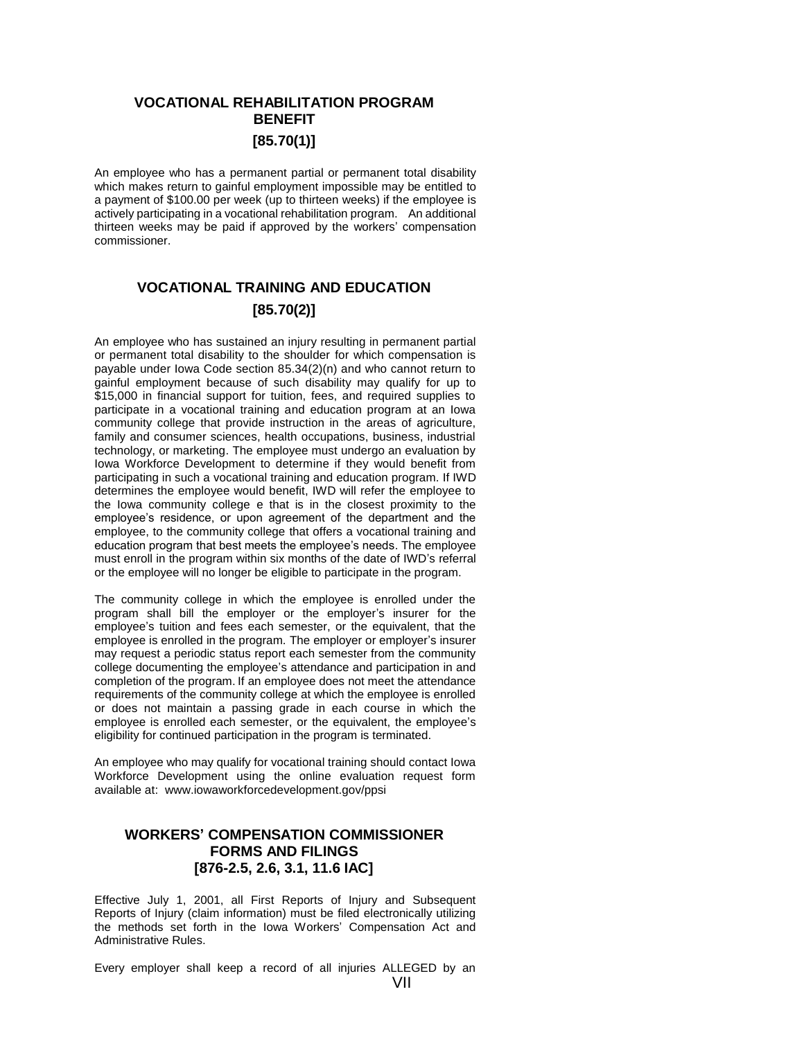# **VOCATIONAL REHABILITATION PROGRAM BENEFIT [85.70(1)]**

An employee who has a permanent partial or permanent total disability which makes return to gainful employment impossible may be entitled to a payment of \$100.00 per week (up to thirteen weeks) if the employee is actively participating in a vocational rehabilitation program. An additional thirteen weeks may be paid if approved by the workers' compensation commissioner.

# **VOCATIONAL TRAINING AND EDUCATION [85.70(2)]**

An employee who has sustained an injury resulting in permanent partial or permanent total disability to the shoulder for which compensation is payable under Iowa Code section 85.34(2)(n) and who cannot return to gainful employment because of such disability may qualify for up to \$15,000 in financial support for tuition, fees, and required supplies to participate in a vocational training and education program at an Iowa community college that provide instruction in the areas of agriculture, family and consumer sciences, health occupations, business, industrial technology, or marketing. The employee must undergo an evaluation by Iowa Workforce Development to determine if they would benefit from participating in such a vocational training and education program. If IWD determines the employee would benefit, IWD will refer the employee to the Iowa community college e that is in the closest proximity to the employee's residence, or upon agreement of the department and the employee, to the community college that offers a vocational training and education program that best meets the employee's needs. The employee must enroll in the program within six months of the date of IWD's referral or the employee will no longer be eligible to participate in the program.

The community college in which the employee is enrolled under the program shall bill the employer or the employer's insurer for the employee's tuition and fees each semester, or the equivalent, that the employee is enrolled in the program. The employer or employer's insurer may request a periodic status report each semester from the community college documenting the employee's attendance and participation in and completion of the program. If an employee does not meet the attendance requirements of the community college at which the employee is enrolled or does not maintain a passing grade in each course in which the employee is enrolled each semester, or the equivalent, the employee's eligibility for continued participation in the program is terminated.

An employee who may qualify for vocational training should contact Iowa Workforce Development using the online evaluation request form available at: www.iowaworkforcedevelopment.gov/ppsi

# **WORKERS' COMPENSATION COMMISSIONER FORMS AND FILINGS [876-2.5, 2.6, 3.1, 11.6 IAC]**

Effective July 1, 2001, all First Reports of Injury and Subsequent Reports of Injury (claim information) must be filed electronically utilizing the methods set forth in the Iowa Workers' Compensation Act and Administrative Rules.

Every employer shall keep a record of all injuries ALLEGED by an